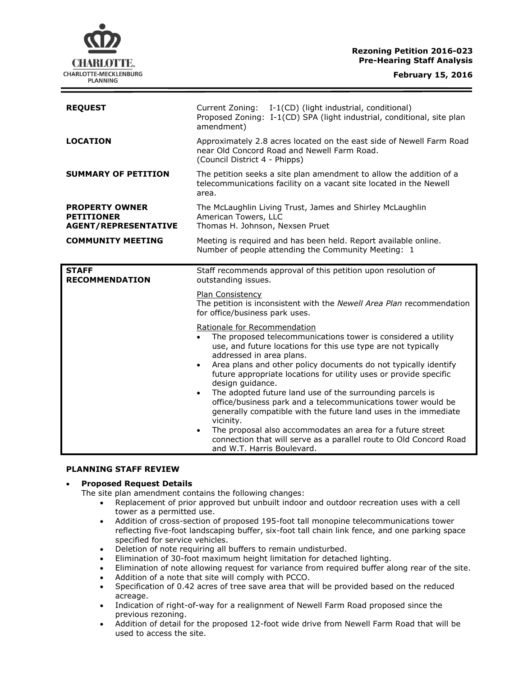**Rezoning Petition 2016-023 Pre-Hearing Staff Analysis**

| <b>REQUEST</b>                                                            | Current Zoning: I-1(CD) (light industrial, conditional)<br>Proposed Zoning: I-1(CD) SPA (light industrial, conditional, site plan<br>amendment)                                                                        |
|---------------------------------------------------------------------------|------------------------------------------------------------------------------------------------------------------------------------------------------------------------------------------------------------------------|
| <b>LOCATION</b>                                                           | Approximately 2.8 acres located on the east side of Newell Farm Road<br>near Old Concord Road and Newell Farm Road.<br>(Council District 4 - Phipps)                                                                   |
| <b>SUMMARY OF PETITION</b>                                                | The petition seeks a site plan amendment to allow the addition of a<br>telecommunications facility on a vacant site located in the Newell<br>area.                                                                     |
| <b>PROPERTY OWNER</b><br><b>PETITIONER</b><br><b>AGENT/REPRESENTATIVE</b> | The McLaughlin Living Trust, James and Shirley McLaughlin<br>American Towers, LLC<br>Thomas H. Johnson, Nexsen Pruet                                                                                                   |
| <b>COMMUNITY MEETING</b>                                                  | Meeting is required and has been held. Report available online.<br>Number of people attending the Community Meeting: 1                                                                                                 |
| <b>STAFF</b><br><b>RECOMMENDATION</b>                                     | Staff recommends approval of this petition upon resolution of<br>outstanding issues.<br>Plan Consistency                                                                                                               |
|                                                                           | The petition is inconsistent with the Newell Area Plan recommendation<br>for office/business park uses.                                                                                                                |
|                                                                           | Rationale for Recommendation<br>The proposed telecommunications tower is considered a utility<br>$\bullet$<br>use, and future locations for this use type are not typically<br>addressed in area plans.                |
|                                                                           | Area plans and other policy documents do not typically identify<br>$\bullet$<br>future appropriate locations for utility uses or provide specific<br>design guidance.                                                  |
|                                                                           | The adopted future land use of the surrounding parcels is<br>$\bullet$<br>office/business park and a telecommunications tower would be<br>generally compatible with the future land uses in the immediate<br>vicinity. |
|                                                                           | The proposal also accommodates an area for a future street<br>connection that will serve as a parallel route to Old Concord Road<br>and W.T. Harris Boulevard.                                                         |

# **PLANNING STAFF REVIEW**

## **Proposed Request Details**

The site plan amendment contains the following changes:

- Replacement of prior approved but unbuilt indoor and outdoor recreation uses with a cell tower as a permitted use.
- Addition of cross-section of proposed 195-foot tall monopine telecommunications tower reflecting five-foot landscaping buffer, six-foot tall chain link fence, and one parking space specified for service vehicles.
- Deletion of note requiring all buffers to remain undisturbed.
- Elimination of 30-foot maximum height limitation for detached lighting.
- Elimination of note allowing request for variance from required buffer along rear of the site.
- Addition of a note that site will comply with PCCO.
- Specification of 0.42 acres of tree save area that will be provided based on the reduced acreage.
- Indication of right-of-way for a realignment of Newell Farm Road proposed since the previous rezoning.
- Addition of detail for the proposed 12-foot wide drive from Newell Farm Road that will be used to access the site.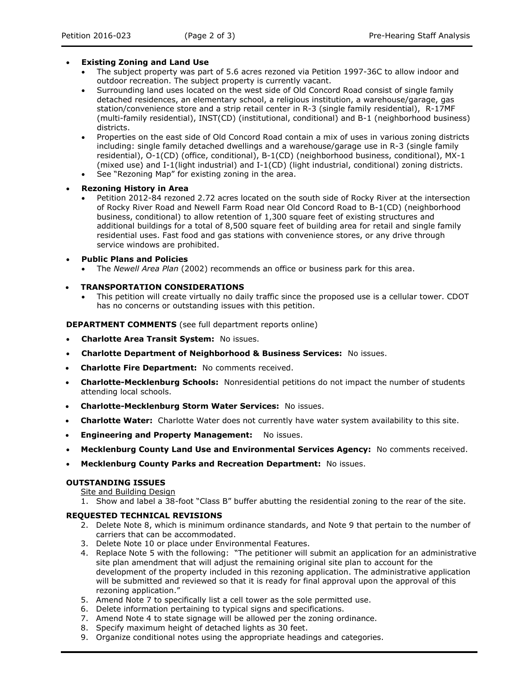## **Existing Zoning and Land Use**

- The subject property was part of 5.6 acres rezoned via Petition 1997-36C to allow indoor and outdoor recreation. The subject property is currently vacant.
- Surrounding land uses located on the west side of Old Concord Road consist of single family detached residences, an elementary school, a religious institution, a warehouse/garage, gas station/convenience store and a strip retail center in R-3 (single family residential), R-17MF (multi-family residential), INST(CD) (institutional, conditional) and B-1 (neighborhood business) districts.
- Properties on the east side of Old Concord Road contain a mix of uses in various zoning districts including: single family detached dwellings and a warehouse/garage use in R-3 (single family residential), O-1(CD) (office, conditional), B-1(CD) (neighborhood business, conditional), MX-1 (mixed use) and I-1(light industrial) and I-1(CD) (light industrial, conditional) zoning districts.
- See "Rezoning Map" for existing zoning in the area.
- **Rezoning History in Area**
	- Petition 2012-84 rezoned 2.72 acres located on the south side of Rocky River at the intersection of Rocky River Road and Newell Farm Road near Old Concord Road to B-1(CD) (neighborhood business, conditional) to allow retention of 1,300 square feet of existing structures and additional buildings for a total of 8,500 square feet of building area for retail and single family residential uses. Fast food and gas stations with convenience stores, or any drive through service windows are prohibited.
- **Public Plans and Policies**
	- The *Newell Area Plan* (2002) recommends an office or business park for this area.

#### **TRANSPORTATION CONSIDERATIONS**

 This petition will create virtually no daily traffic since the proposed use is a cellular tower. CDOT has no concerns or outstanding issues with this petition.

**DEPARTMENT COMMENTS** (see full department reports online)

- **Charlotte Area Transit System:** No issues.
- **Charlotte Department of Neighborhood & Business Services:** No issues.
- **Charlotte Fire Department:** No comments received.
- **Charlotte-Mecklenburg Schools:** Nonresidential petitions do not impact the number of students attending local schools.
- **Charlotte-Mecklenburg Storm Water Services:** No issues.
- **Charlotte Water:** Charlotte Water does not currently have water system availability to this site.
- **Engineering and Property Management:** No issues.
- **Mecklenburg County Land Use and Environmental Services Agency:** No comments received.
- **Mecklenburg County Parks and Recreation Department:** No issues.

#### **OUTSTANDING ISSUES**

- Site and Building Design
- 1. Show and label a 38-foot "Class B" buffer abutting the residential zoning to the rear of the site.

### **REQUESTED TECHNICAL REVISIONS**

- 2. Delete Note 8, which is minimum ordinance standards, and Note 9 that pertain to the number of carriers that can be accommodated.
- 3. Delete Note 10 or place under Environmental Features.
- 4. Replace Note 5 with the following: "The petitioner will submit an application for an administrative site plan amendment that will adjust the remaining original site plan to account for the development of the property included in this rezoning application. The administrative application will be submitted and reviewed so that it is ready for final approval upon the approval of this rezoning application."
- 5. Amend Note 7 to specifically list a cell tower as the sole permitted use.
- 6. Delete information pertaining to typical signs and specifications.
- 7. Amend Note 4 to state signage will be allowed per the zoning ordinance.
- 8. Specify maximum height of detached lights as 30 feet.
- 9. Organize conditional notes using the appropriate headings and categories.